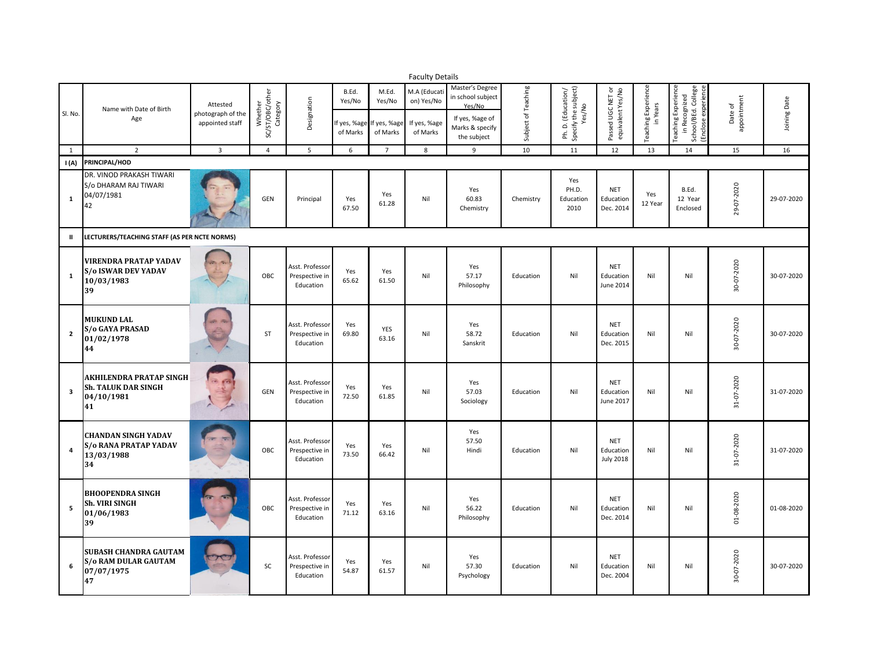|                         | <b>Faculty Details</b>                                                          |                                                  |                                        |                                                |                             |                                                         |                                                       |                                                                                      |                     |                                                      |                                             |                                        |                                                                                   |                        |              |
|-------------------------|---------------------------------------------------------------------------------|--------------------------------------------------|----------------------------------------|------------------------------------------------|-----------------------------|---------------------------------------------------------|-------------------------------------------------------|--------------------------------------------------------------------------------------|---------------------|------------------------------------------------------|---------------------------------------------|----------------------------------------|-----------------------------------------------------------------------------------|------------------------|--------------|
| Sl. No.                 | Name with Date of Birth<br>Age                                                  | Attested<br>photograph of the<br>appointed staff | Whether<br>SC/ST/OBC/other<br>Category | Designation                                    | B.Ed.<br>Yes/No<br>of Marks | M.Ed.<br>Yes/No<br>f yes, %age If yes, %age<br>of Marks | M.A (Educat<br>on) Yes/No<br>If yes, %age<br>of Marks | Master's Degree<br>in school subject<br>Yes/No<br>If yes, %age of<br>Marks & specify | Subject of Teaching | Ph. D. (Education/<br>Specify the subject)<br>Yes/No | Passed UGC NET or<br>equivalent Yes/No      | <b>Teaching Experience</b><br>in Years | Teaching Experience<br>in Recognized<br>School/BEd. College<br>Enclose experience | appointment<br>Date of | Joining Date |
|                         |                                                                                 |                                                  |                                        |                                                |                             |                                                         |                                                       | the subject                                                                          |                     |                                                      |                                             |                                        |                                                                                   |                        |              |
| 1                       | $\overline{2}$                                                                  | $\overline{3}$                                   | $\overline{4}$                         | 5                                              | 6                           | $\overline{7}$                                          | 8                                                     | 9                                                                                    | 10                  | 11                                                   | 12                                          | 13                                     | 14                                                                                | 15                     | 16           |
| I(A)                    | PRINCIPAL/HOD                                                                   |                                                  |                                        |                                                |                             |                                                         |                                                       |                                                                                      |                     |                                                      |                                             |                                        |                                                                                   |                        |              |
| $\mathbf{1}$            | DR. VINOD PRAKASH TIWARI<br>S/o DHARAM RAJ TIWARI<br>04/07/1981<br>42           |                                                  | GEN                                    | Principal                                      | Yes<br>67.50                | Yes<br>61.28                                            | Nil                                                   | Yes<br>60.83<br>Chemistry                                                            | Chemistry           | Yes<br>PH.D.<br>Education<br>2010                    | <b>NET</b><br>Education<br>Dec. 2014        | Yes<br>12 Year                         | B.Ed.<br>12 Year<br>Enclosed                                                      | 29-07-2020             | 29-07-2020   |
| $\mathbf{H}$            | LECTURERS/TEACHING STAFF (AS PER NCTE NORMS)                                    |                                                  |                                        |                                                |                             |                                                         |                                                       |                                                                                      |                     |                                                      |                                             |                                        |                                                                                   |                        |              |
| $\mathbf{1}$            | <b>VIRENDRA PRATAP YADAV</b><br><b>S/o ISWAR DEV YADAV</b><br>10/03/1983<br>39  |                                                  | OBC                                    | Asst. Professor<br>Prespective in<br>Education | Yes<br>65.62                | Yes<br>61.50                                            | Nil                                                   | Yes<br>57.17<br>Philosophy                                                           | Education           | Nil                                                  | <b>NET</b><br>Education<br>June 2014        | Nil                                    | Nil                                                                               | 30-07-2020             | 30-07-2020   |
| $\overline{2}$          | <b>MUKUND LAL</b><br><b>S/o GAYA PRASAD</b><br>01/02/1978<br>44                 |                                                  | <b>ST</b>                              | Asst. Professor<br>Prespective in<br>Education | Yes<br>69.80                | YES<br>63.16                                            | Nil                                                   | Yes<br>58.72<br>Sanskrit                                                             | Education           | Nil                                                  | <b>NET</b><br>Education<br>Dec. 2015        | Nil                                    | Nil                                                                               | 30-07-2020             | 30-07-2020   |
| $\overline{\mathbf{3}}$ | <b>AKHILENDRA PRATAP SINGH</b><br>Sh. TALUK DAR SINGH<br>04/10/1981<br>41       |                                                  | GEN                                    | Asst. Professor<br>Prespective in<br>Education | Yes<br>72.50                | Yes<br>61.85                                            | Nil                                                   | Yes<br>57.03<br>Sociology                                                            | Education           | Nil                                                  | <b>NET</b><br>Education<br>June 2017        | Nil                                    | Nil                                                                               | 31-07-2020             | 31-07-2020   |
| $\boldsymbol{4}$        | <b>CHANDAN SINGH YADAV</b><br><b>S/o RANA PRATAP YADAV</b><br>13/03/1988<br>34  |                                                  | OBC                                    | Asst. Professor<br>Prespective in<br>Education | Yes<br>73.50                | Yes<br>66.42                                            | Nil                                                   | Yes<br>57.50<br>Hindi                                                                | Education           | Nil                                                  | <b>NET</b><br>Education<br><b>July 2018</b> | Nil                                    | Nil                                                                               | 31-07-2020             | 31-07-2020   |
| 5                       | <b>BHOOPENDRA SINGH</b><br><b>Sh. VIRI SINGH</b><br>01/06/1983<br>39            |                                                  | OBC                                    | Asst. Professor<br>Prespective in<br>Education | Yes<br>71.12                | Yes<br>63.16                                            | Nil                                                   | Yes<br>56.22<br>Philosophy                                                           | Education           | Nil                                                  | <b>NET</b><br>Education<br>Dec. 2014        | Nil                                    | Nil                                                                               | 01-08-2020             | 01-08-2020   |
| 6                       | <b>SUBASH CHANDRA GAUTAM</b><br><b>S/o RAM DULAR GAUTAM</b><br>07/07/1975<br>47 |                                                  | SC                                     | Asst. Professor<br>Prespective in<br>Education | Yes<br>54.87                | Yes<br>61.57                                            | Nil                                                   | Yes<br>57.30<br>Psychology                                                           | Education           | Nil                                                  | <b>NET</b><br>Education<br>Dec. 2004        | Nil                                    | Nil                                                                               | 30-07-2020             | 30-07-2020   |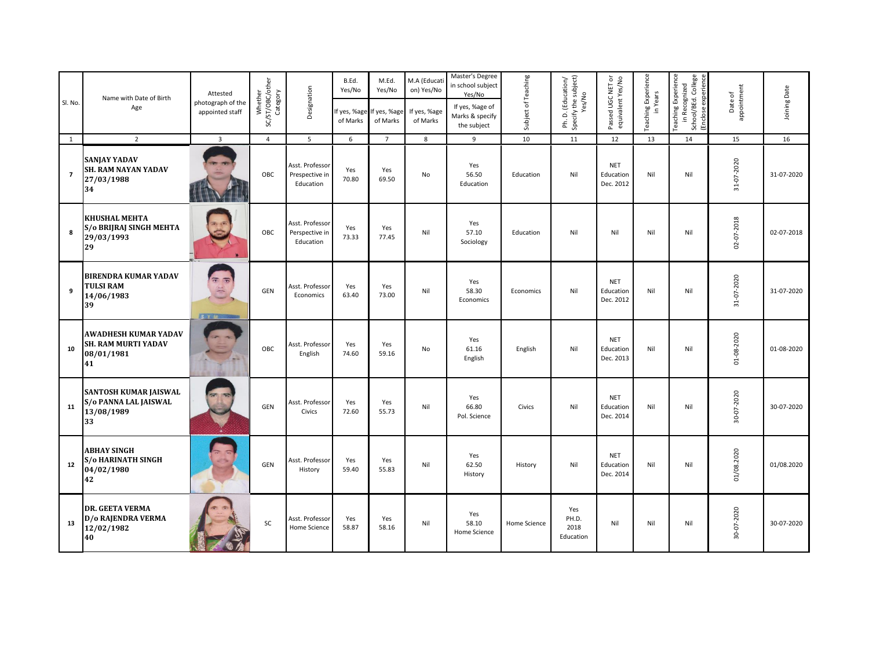| Sl. No.        | Name with Date of Birth<br>Age                                                | Attested<br>photograph of the<br>appointed staff | Whether<br>SC/ST/OBC/other<br>Category | Designation                                    | B.Ed.<br>Yes/No<br>of Marks | M.Ed.<br>Yes/No<br>f yes, %age If yes, %age<br>of Marks | M.A (Educati<br>on) Yes/No<br>If yes, %age<br>of Marks | Master's Degree<br>in school subject<br>Yes/No<br>If yes, %age of<br>Marks & specify<br>the subject | Subject of Teaching | Ph. D. (Education/<br>Specify the subject)<br>Yes/No | Passed UGC NET or<br>equivalent Yes/No | <b>Teaching Experience</b><br>in Years | Teaching Experience<br>in Recognized<br>School/BEd. College<br>Enclose experience | appointment<br>Date of | Joining Date |
|----------------|-------------------------------------------------------------------------------|--------------------------------------------------|----------------------------------------|------------------------------------------------|-----------------------------|---------------------------------------------------------|--------------------------------------------------------|-----------------------------------------------------------------------------------------------------|---------------------|------------------------------------------------------|----------------------------------------|----------------------------------------|-----------------------------------------------------------------------------------|------------------------|--------------|
| $\mathbf{1}$   | $\overline{2}$                                                                | $\overline{3}$                                   | $\overline{4}$                         | 5                                              | 6                           | $\overline{7}$                                          | 8                                                      | 9                                                                                                   | 10                  | 11                                                   | 12                                     | 13                                     | 14                                                                                | 15                     | 16           |
| $\overline{7}$ | <b>SANJAY YADAV</b><br><b>SH. RAM NAYAN YADAV</b><br>27/03/1988<br>34         |                                                  | OBC                                    | Asst. Professor<br>Prespective in<br>Education | Yes<br>70.80                | Yes<br>69.50                                            | No                                                     | Yes<br>56.50<br>Education                                                                           | Education           | Nil                                                  | <b>NET</b><br>Education<br>Dec. 2012   | Nil                                    | Nil                                                                               | 31-07-2020             | 31-07-2020   |
| 8              | <b>KHUSHAL MEHTA</b><br>S/o BRIJRAJ SINGH MEHTA<br>29/03/1993<br>29           |                                                  | OBC                                    | Asst. Professor<br>Perspective in<br>Education | Yes<br>73.33                | Yes<br>77.45                                            | Nil                                                    | Yes<br>57.10<br>Sociology                                                                           | Education           | Nil                                                  | Nil                                    | Nil                                    | Nil                                                                               | 02-07-2018             | 02-07-2018   |
| 9              | <b>BIRENDRA KUMAR YADAV</b><br>TULSI RAM<br>14/06/1983<br>39                  | $\overline{x}$ $\overline{x}$<br>等<br>SYM        | GEN                                    | Asst. Professor<br>Economics                   | Yes<br>63.40                | Yes<br>73.00                                            | Nil                                                    | Yes<br>58.30<br>Economics                                                                           | Economics           | Nil                                                  | <b>NET</b><br>Education<br>Dec. 2012   | Nil                                    | Nil                                                                               | 31-07-2020             | 31-07-2020   |
| 10             | <b>AWADHESH KUMAR YADAV</b><br><b>SH. RAM MURTI YADAV</b><br>08/01/1981<br>41 |                                                  | OBC                                    | Asst. Professor<br>English                     | Yes<br>74.60                | Yes<br>59.16                                            | No                                                     | Yes<br>61.16<br>English                                                                             | English             | Nil                                                  | <b>NET</b><br>Education<br>Dec. 2013   | Nil                                    | Nil                                                                               | 01-08-2020             | 01-08-2020   |
| 11             | <b>SANTOSH KUMAR JAISWAL</b><br>S/o PANNA LAL JAISWAL<br>13/08/1989<br>33     |                                                  | GEN                                    | Asst. Professor<br>Civics                      | Yes<br>72.60                | Yes<br>55.73                                            | Nil                                                    | Yes<br>66.80<br>Pol. Science                                                                        | Civics              | Nil                                                  | <b>NET</b><br>Education<br>Dec. 2014   | Nil                                    | Nil                                                                               | 30-07-2020             | 30-07-2020   |
| 12             | <b>ABHAY SINGH</b><br><b>S/o HARINATH SINGH</b><br>04/02/1980<br>42           |                                                  | GEN                                    | Asst. Professor<br>History                     | Yes<br>59.40                | Yes<br>55.83                                            | Nil                                                    | Yes<br>62.50<br>History                                                                             | History             | Nil                                                  | <b>NET</b><br>Education<br>Dec. 2014   | Nil                                    | Nil                                                                               | 01/08.2020             | 01/08.2020   |
| 13             | <b>DR. GEETA VERMA</b><br>D/o RAJENDRA VERMA<br>12/02/1982<br>40              |                                                  | SC                                     | Asst. Professor<br>Home Science                | Yes<br>58.87                | Yes<br>58.16                                            | Nil                                                    | Yes<br>58.10<br>Home Science                                                                        | Home Science        | Yes<br>PH.D.<br>2018<br>Education                    | Nil                                    | Nil                                    | Nil                                                                               | 30-07-2020             | 30-07-2020   |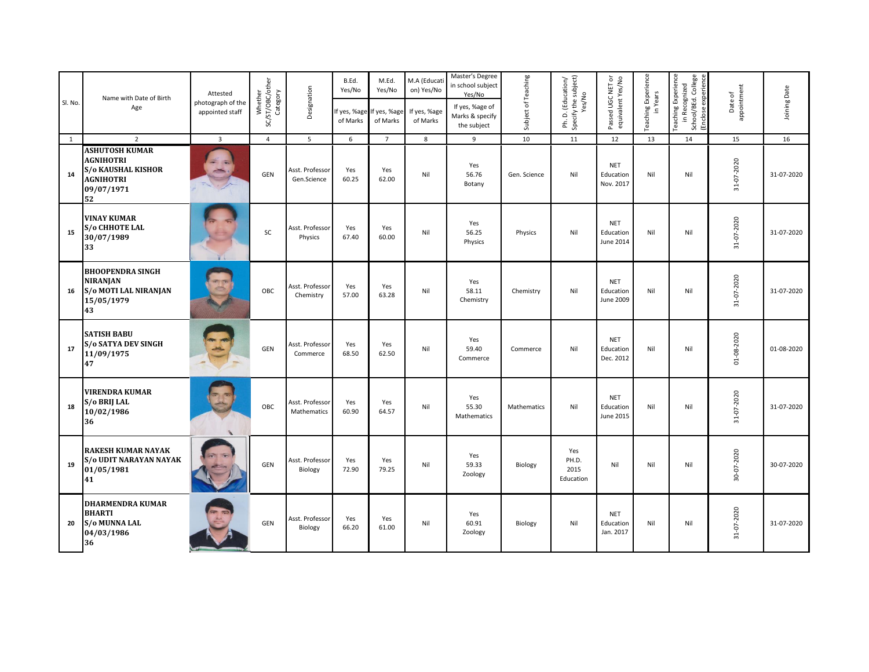| Sl. No.      | Name with Date of Birth<br>Age                                                                                 | Attested<br>photograph of the<br>appointed staff | Whether<br>SC/ST/OBC/other<br>Category | Designation                    | B.Ed.<br>Yes/No<br>of Marks | M.Ed.<br>Yes/No<br>If yes, %age If yes, %age<br>of Marks | M.A (Educati<br>on) Yes/No<br>If yes, %age<br>of Marks | Master's Degree<br>in school subject<br>Yes/No<br>If yes, %age of<br>Marks & specify<br>the subject | Subject of Teaching | Ph. D. (Education/<br>Specify the subject)<br>Yes/No | Passed UGC NET or<br>equivalent Yes/No | Teaching Experience<br>in Years | Teaching Experience<br>in Recognized<br>School/BEd. College<br>Enclose experience | Date of<br>appointment | Joining Date |
|--------------|----------------------------------------------------------------------------------------------------------------|--------------------------------------------------|----------------------------------------|--------------------------------|-----------------------------|----------------------------------------------------------|--------------------------------------------------------|-----------------------------------------------------------------------------------------------------|---------------------|------------------------------------------------------|----------------------------------------|---------------------------------|-----------------------------------------------------------------------------------|------------------------|--------------|
| <sup>1</sup> | $\overline{2}$                                                                                                 | $\overline{3}$                                   | $\overline{4}$                         | 5                              | 6                           | $\overline{7}$                                           | 8                                                      | 9                                                                                                   | 10                  | 11                                                   | 12                                     | 13                              | 14                                                                                | 15                     | 16           |
| 14           | <b>ASHUTOSH KUMAR</b><br><b>AGNIHOTRI</b><br><b>S/o KAUSHAL KISHOR</b><br><b>AGNIHOTRI</b><br>09/07/1971<br>52 |                                                  | <b>GEN</b>                             | Asst. Professor<br>Gen.Science | Yes<br>60.25                | Yes<br>62.00                                             | Nil                                                    | Yes<br>56.76<br>Botany                                                                              | Gen. Science        | Nil                                                  | <b>NET</b><br>Education<br>Nov. 2017   | Nil                             | Nil                                                                               | 31-07-2020             | 31-07-2020   |
| 15           | <b>VINAY KUMAR</b><br>S/o CHHOTE LAL<br>30/07/1989<br>33                                                       |                                                  | SC                                     | Asst. Professor<br>Physics     | Yes<br>67.40                | Yes<br>60.00                                             | Nil                                                    | Yes<br>56.25<br>Physics                                                                             | Physics             | Nil                                                  | <b>NET</b><br>Education<br>June 2014   | Nil                             | Nil                                                                               | 31-07-2020             | 31-07-2020   |
| 16           | <b>BHOOPENDRA SINGH</b><br><b>NIRANJAN</b><br><b>S/o MOTI LAL NIRANJAN</b><br>15/05/1979<br>43                 |                                                  | OBC                                    | Asst. Professo<br>Chemistry    | Yes<br>57.00                | Yes<br>63.28                                             | Nil                                                    | Yes<br>58.11<br>Chemistry                                                                           | Chemistry           | Nil                                                  | <b>NET</b><br>Education<br>June 2009   | Nil                             | Nil                                                                               | 31-07-2020             | 31-07-2020   |
| 17           | <b>SATISH BABU</b><br><b>S/o SATYA DEV SINGH</b><br>11/09/1975<br>47                                           |                                                  | GEN                                    | Asst. Professor<br>Commerce    | Yes<br>68.50                | Yes<br>62.50                                             | Nil                                                    | Yes<br>59.40<br>Commerce                                                                            | Commerce            | Nil                                                  | <b>NET</b><br>Education<br>Dec. 2012   | Nil                             | Nil                                                                               | 01-08-2020             | 01-08-2020   |
| 18           | <b>VIRENDRA KUMAR</b><br>S/o BRIJ LAL<br>10/02/1986<br>36                                                      |                                                  | OBC                                    | Asst. Professor<br>Mathematics | Yes<br>60.90                | Yes<br>64.57                                             | Nil                                                    | Yes<br>55.30<br>Mathematics                                                                         | Mathematics         | Nil                                                  | <b>NET</b><br>Education<br>June 2015   | Nil                             | Nil                                                                               | 31-07-2020             | 31-07-2020   |
| 19           | <b>RAKESH KUMAR NAYAK</b><br><b>S/o UDIT NARAYAN NAYAK</b><br>01/05/1981<br>41                                 |                                                  | GEN                                    | Asst. Professor<br>Biology     | Yes<br>72.90                | Yes<br>79.25                                             | Nil                                                    | Yes<br>59.33<br>Zoology                                                                             | Biology             | Yes<br>PH.D.<br>2015<br>Education                    | Nil                                    | Nil                             | Nil                                                                               | 30-07-2020             | 30-07-2020   |
| 20           | <b>DHARMENDRA KUMAR</b><br><b>BHARTI</b><br><b>S/o MUNNA LAL</b><br>04/03/1986<br>36                           |                                                  | GEN                                    | Asst. Professor<br>Biology     | Yes<br>66.20                | Yes<br>61.00                                             | Nil                                                    | Yes<br>60.91<br>Zoology                                                                             | Biology             | Nil                                                  | <b>NET</b><br>Education<br>Jan. 2017   | Nil                             | Nil                                                                               | 31-07-2020             | 31-07-2020   |